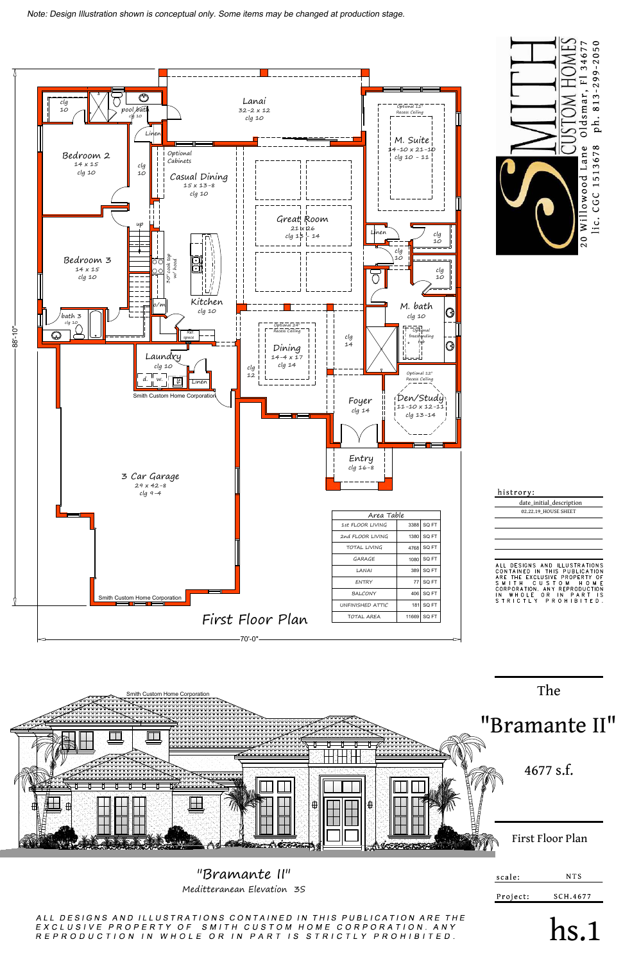



Meditteranean Elevation 3S

ALL DESIGNS AND ILLUSTRATIONS CONTAINED IN THIS PUBLICATION ARE THE EXCLUSIVE PROPERTY OF SMITH CUSTOM HOME CORPORATION. ANY R E P R O D U C T I O N I N W H O L E O R I N P A R T I S S T R I C T L Y P R O H I B I T E D .



| histrory:                                                                                                                                                                                                                                                                     |
|-------------------------------------------------------------------------------------------------------------------------------------------------------------------------------------------------------------------------------------------------------------------------------|
| date_initial_description                                                                                                                                                                                                                                                      |
| 02.22.19 HOUSE SHEET                                                                                                                                                                                                                                                          |
|                                                                                                                                                                                                                                                                               |
|                                                                                                                                                                                                                                                                               |
|                                                                                                                                                                                                                                                                               |
|                                                                                                                                                                                                                                                                               |
| DESIGNS AND ILLUSTRATIONS<br>$\Delta$    <br>CONTAINED IN THIS PUBLICATION<br><b>FXCLUSIVE PROPERTY</b><br>TH F<br>ARF<br>ΩF<br>CUST<br>O M<br>S M<br>м<br>F<br>н<br>CORPORATION, ANY REPRODUCTION<br>OR.<br>IN.<br>WHOIF<br>ף ו<br>N<br>PAR<br>S T R I C T L Y<br>PROHIBITED |
|                                                                                                                                                                                                                                                                               |

Smith Custom Home Corporation<br>
The Computer of the Corporation<br>
The Computer of the Corporation<br>
The Computer of the Corporation<br>
The Computer of the Corporation<br>
The Corporation<br>
The Corporation<br>
The Corporation<br>
The Corp

hs.1

SCH.4677

Project:

Note: Design Illustration shown is conceptual only. Some items may be changed at production stage.